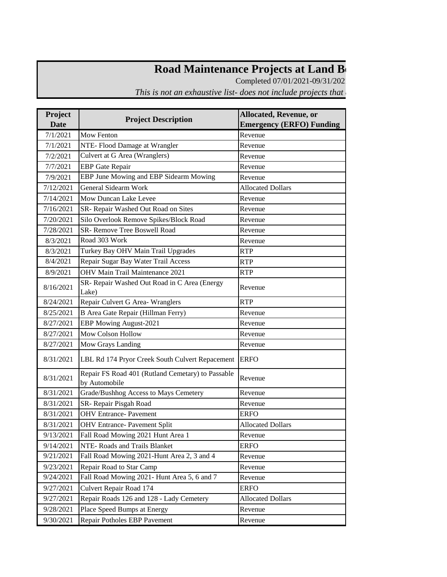## Road Maintenance Projects at Land Between the Lakes

Completed 07/01/2021-09/31/202

*This is not an exhaustive list- does not include projects that* 

| Project     |                                                                    | <b>Allocated, Revenue, or</b>   |  |
|-------------|--------------------------------------------------------------------|---------------------------------|--|
| <b>Date</b> | <b>Project Description</b>                                         | <b>Emergency (ERFO) Funding</b> |  |
| 7/1/2021    | <b>Mow Fenton</b>                                                  | Revenue                         |  |
| 7/1/2021    | NTE-Flood Damage at Wrangler                                       | Revenue                         |  |
| 7/2/2021    | Culvert at G Area (Wranglers)                                      | Revenue                         |  |
| 7/7/2021    | <b>EBP</b> Gate Repair                                             | Revenue                         |  |
| 7/9/2021    | EBP June Mowing and EBP Sidearm Mowing                             | Revenue                         |  |
| 7/12/2021   | <b>General Sidearm Work</b>                                        | <b>Allocated Dollars</b>        |  |
| 7/14/2021   | Mow Duncan Lake Levee                                              | Revenue                         |  |
| 7/16/2021   | SR- Repair Washed Out Road on Sites                                | Revenue                         |  |
| 7/20/2021   | Silo Overlook Remove Spikes/Block Road                             | Revenue                         |  |
| 7/28/2021   | SR- Remove Tree Boswell Road                                       | Revenue                         |  |
| 8/3/2021    | Road 303 Work                                                      | Revenue                         |  |
| 8/3/2021    | Turkey Bay OHV Main Trail Upgrades                                 | <b>RTP</b>                      |  |
| 8/4/2021    | Repair Sugar Bay Water Trail Access                                | <b>RTP</b>                      |  |
| 8/9/2021    | OHV Main Trail Maintenance 2021                                    | <b>RTP</b>                      |  |
| 8/16/2021   | SR- Repair Washed Out Road in C Area (Energy<br>Lake)              | Revenue                         |  |
| 8/24/2021   | Repair Culvert G Area- Wranglers                                   | <b>RTP</b>                      |  |
| 8/25/2021   | B Area Gate Repair (Hillman Ferry)                                 | Revenue                         |  |
| 8/27/2021   | EBP Mowing August-2021                                             | Revenue                         |  |
| 8/27/2021   | Mow Colson Hollow                                                  | Revenue                         |  |
| 8/27/2021   | Mow Grays Landing                                                  | Revenue                         |  |
| 8/31/2021   | LBL Rd 174 Pryor Creek South Culvert Repacement                    | <b>ERFO</b>                     |  |
| 8/31/2021   | Repair FS Road 401 (Rutland Cemetary) to Passable<br>by Automobile | Revenue                         |  |
| 8/31/2021   | Grade/Bushhog Access to Mays Cemetery                              | Revenue                         |  |
| 8/31/2021   | SR- Repair Pisgah Road                                             | Revenue                         |  |
| 8/31/2021   | <b>OHV</b> Entrance- Pavement                                      | <b>ERFO</b>                     |  |
| 8/31/2021   | <b>OHV Entrance- Pavement Split</b>                                | <b>Allocated Dollars</b>        |  |
| 9/13/2021   | Fall Road Mowing 2021 Hunt Area 1                                  | Revenue                         |  |
| 9/14/2021   | NTE-Roads and Trails Blanket                                       | <b>ERFO</b>                     |  |
| 9/21/2021   | Fall Road Mowing 2021-Hunt Area 2, 3 and 4                         | Revenue                         |  |
| 9/23/2021   | Repair Road to Star Camp                                           | Revenue                         |  |
| 9/24/2021   | Fall Road Mowing 2021- Hunt Area 5, 6 and 7                        | Revenue                         |  |
| 9/27/2021   | Culvert Repair Road 174                                            | <b>ERFO</b>                     |  |
| 9/27/2021   | Repair Roads 126 and 128 - Lady Cemetery                           | <b>Allocated Dollars</b>        |  |
| 9/28/2021   | Place Speed Bumps at Energy                                        | Revenue                         |  |
| 9/30/2021   | Repair Potholes EBP Pavement                                       | Revenue                         |  |